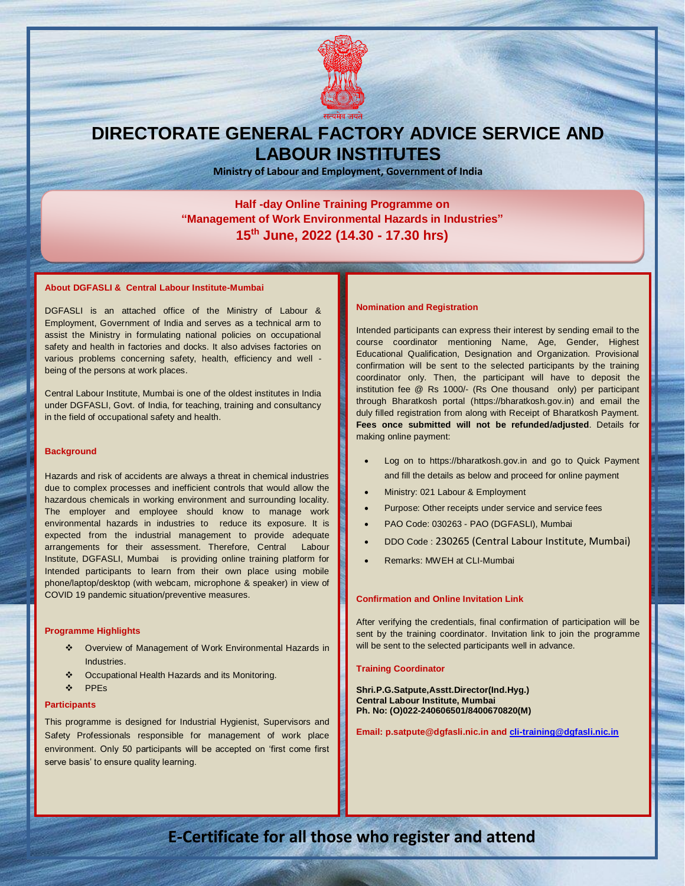

# **DIRECTORATE GENERAL FACTORY ADVICE SERVICE AND LABOUR INSTITUTES**

**Ministry of Labour and Employment, Government of India**

### **Half -day Online Training Programme on "Management of Work Environmental Hazards in Industries" 15th June, 2022 (14.30 - 17.30 hrs)**

#### **About DGFASLI & Central Labour Institute-Mumbai**

DGFASLI is an attached office of the Ministry of Labour & Employment, Government of India and serves as a technical arm to assist the Ministry in formulating national policies on occupational safety and health in factories and docks. It also advises factories on various problems concerning safety, health, efficiency and well being of the persons at work places.

Central Labour Institute, Mumbai is one of the oldest institutes in India under DGFASLI, Govt. of India, for teaching, training and consultancy in the field of occupational safety and health.

#### **Background**

Hazards and risk of accidents are always a threat in chemical industries due to complex processes and inefficient controls that would allow the hazardous chemicals in working environment and surrounding locality. The employer and employee should know to manage work environmental hazards in industries to reduce its exposure. It is expected from the industrial management to provide adequate arrangements for their assessment. Therefore, Central Labour Institute, DGFASLI, Mumbai is providing online training platform for Intended participants to learn from their own place using mobile phone/laptop/desktop (with webcam, microphone & speaker) in view of COVID 19 pandemic situation/preventive measures.

#### **Programme Highlights**

- Overview of Management of Work Environmental Hazards in Industries.
- ◆ Occupational Health Hazards and its Monitoring.
- PPEs

#### **Participants**

This programme is designed for Industrial Hygienist, Supervisors and Safety Professionals responsible for management of work place environment. Only 50 participants will be accepted on 'first come first serve basis' to ensure quality learning.

#### **Nomination and Registration**

Intended participants can express their interest by sending email to the course coordinator mentioning Name, Age, Gender, Highest Educational Qualification, Designation and Organization. Provisional confirmation will be sent to the selected participants by the training coordinator only. Then, the participant will have to deposit the institution fee @ Rs 1000/- (Rs One thousand only) per participant through Bharatkosh portal [\(https://bharatkosh.gov.in\)](https://bharatkosh.gov.in/) and email the duly filled registration from along with Receipt of Bharatkosh Payment. **Fees once submitted will not be refunded/adjusted**. Details for making online payment:

- Log on to [https://bharatkosh.gov.in](https://bharatkosh.gov.in/) and go to Quick Payment and fill the details as below and proceed for online payment
- Ministry: 021 Labour & Employment
- Purpose: Other receipts under service and service fees
- PAO Code: 030263 PAO (DGFASLI), Mumbai
- DDO Code : 230265 (Central Labour Institute, Mumbai)
- Remarks: MWEH at CLI-Mumbai

#### **Confirmation and Online Invitation Link**

After verifying the credentials, final confirmation of participation will be sent by the training coordinator. Invitation link to join the programme will be sent to the selected participants well in advance.

#### **Training Coordinator**

**Shri.P.G.Satpute,Asstt.Director(Ind.Hyg.) Central Labour Institute, Mumbai Ph. No: (O)022-240606501/8400670820(M)**

**Email: p.satpute@dgfasli.nic.in and [cli-training@dgfasli.nic.in](mailto:cli-training@dgfasli.nic.in)**

**Online registration after confirmation of training co-ordinator**

### **Registration E-Certificate for all those who register and attend**

**Link for Registration : https//forms………………….**